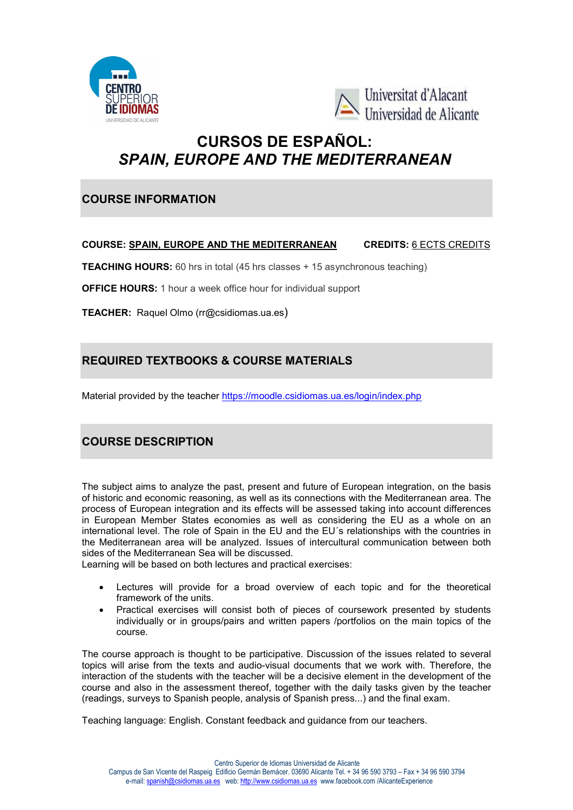



# CURSOS DE ESPAÑOL: CURSOS DE SPAIN, EUROPE AND THE MEDITERRANEAN

### COURSE INFORMATION

#### COURSE: <u>SPAIN, EUROPE AND THE MEDITERRANEAN</u> CREDITS: <u>6 ECTS CREDITS</u>

TEACHING HOURS: 60 hrs in total (45 hrs classes + 15 asynchronous teaching)

OFFICE HOURS: 1 hour a week office hour for individual support

**OFFICE HOURS:** 1 hour a week office hour for ir<br>TEACHER: Raquel Olmo (rr@csidiomas.ua.es)

## REQUIRED TEXTBOOKS & COURSE MATERIALS COURSE MATERIALS

Material provided by the teacher https://moodle.csidiomas.ua.es/login/index.php

## COURSE DESCRIPTION DESCRIPTION

The subject aims to analyze the past, present and future of European integration, on the basis of historic and economic reasoning, as well as its connections with the Mediterranean area. The process of European integration and its effects will be assessed taking into account differences in European Member States economies as well as considering the EU as a whole on an in European Member States economies as well as considering the EU as a whole on an<br>international level. The role of Spain in the EU and the EU´s relationships with the countries in the Mediterranean area will be analyzed. Issues of intercultural communication between both sides of the Mediterranean Sea will be discussed. be discussed. ect aims to analyze the past, present and future of European integration, on the basis<br>c and economic reasoning, as well as its connections with the Mediterranean area. The<br>of European integration and its effects will be a **SPAIN. EUROPE AND THE MEDITERRANEAM CREDITS:** <u>6 ECTS CREDITS</u><br> **SHOURS:** 60 hrs in total (45 hrs classes + 15 asynchronous teaching)<br> **OURS:** 1 hour a week office hour for individual support<br> **ED TEXTBOOKS & COURSE MAT** nd its effects will be assessed taking<br>pnomies as well as considering the<br>ain in the EU and the EU's relationsh<br>nalyzed. Issues of intercultural comm<br>Il be discussed.<br>tures and practical exercises:<br>a broad overview of each

Learning will be based on both lectures and practical exercises:

- Lectures will provide for a broad overview of each topic and for the theoretical framework of the units.
- Practical exercises will consist both of pieces of coursework presented by students individually or in groups/pairs and written papers /portfolios on the main topics of the course. Learning will be based on both lectures and practical exercises:<br>
• Lectures will provide for a broad overview of each topic and for the theoretical<br>
framework of the units.<br>
• Practical exercises will consist both of piec

topics will arise from the texts and audio-visual documents that we work with. Therefore, the interaction of the students with the teacher will be a decisive element in the development of the interaction of the students with the teacher will be a decisive element in the development of the<br>course and also in the assessment thereof, together with the daily tasks given by the teacher (readings, surveys to Spanish people, analysis of Spanish press...) and the final exam.

Teaching language: English. Constant feedback and guidance from our teachers.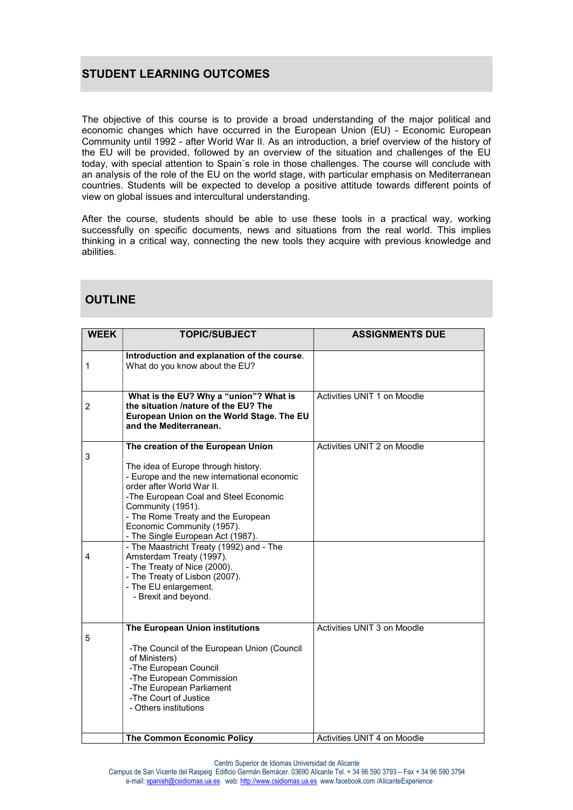## STUDENT LEARNING OUTCOMES

The objective of this course is to provide a broad understanding of the major political and economic changes which have occurred in the European Union (EU) - Economic European Community until 1992 - after World War II. As an introduction, a brief overview of the history of the EU will be provided, followed by an overview of the situation and challenges of the EU today, with special attention to Spain´s role in those challenges. The course will conclude with an analysis of the role of the EU on the world stage, with particular emphasis on Mediterranean countries. Students will be expected to develop a positive attitude towards different points of view on global issues and intercultural understanding.

After the course, students should be able to use these tools in a practical way, working successfully on specific documents, news and situations from the real world. This implies thinking in a critical way, connecting the new tools they acquire with previous knowledge and abilities.

| <b>WEEK</b>  | <b>TOPIC/SUBJECT</b>                                                                                                                                                                                                                                                                                                                                                                                                                                                                                                    | <b>ASSIGNMENTS DUE</b>      |
|--------------|-------------------------------------------------------------------------------------------------------------------------------------------------------------------------------------------------------------------------------------------------------------------------------------------------------------------------------------------------------------------------------------------------------------------------------------------------------------------------------------------------------------------------|-----------------------------|
| $\mathbf{1}$ | Introduction and explanation of the course.<br>What do you know about the EU?                                                                                                                                                                                                                                                                                                                                                                                                                                           |                             |
| 2            | What is the EU? Why a "union"? What is<br>the situation /nature of the EU? The<br>European Union on the World Stage. The EU<br>and the Mediterranean.                                                                                                                                                                                                                                                                                                                                                                   | Activities UNIT 1 on Moodle |
| 3<br>4       | The creation of the European Union<br>The idea of Europe through history.<br>- Europe and the new international economic<br>order after World War II.<br>-The European Coal and Steel Economic<br>Community (1951).<br>- The Rome Treaty and the European<br>Economic Community (1957).<br>- The Single European Act (1987).<br>- The Maastricht Treaty (1992) and - The<br>Amsterdam Treaty (1997).<br>- The Treaty of Nice (2000).<br>- The Treaty of Lisbon (2007).<br>- The EU enlargement.<br>- Brexit and beyond. | Activities UNIT 2 on Moodle |
| 5            | The European Union institutions<br>-The Council of the European Union (Council<br>of Ministers)<br>-The European Council<br>-The European Commission<br>-The European Parliament<br>-The Court of Justice<br>- Others institutions                                                                                                                                                                                                                                                                                      | Activities UNIT 3 on Moodle |
|              | The Common Economic Policy                                                                                                                                                                                                                                                                                                                                                                                                                                                                                              | Activities UNIT 4 on Moodle |

Centro Superior de Idiomas Universidad de Alicante

Campus de San Vicente del Raspeig Edificio Germán Bernácer. 03690 Alicante Tel. + 34 96 590 3793 – Fax + 34 96 590 3794 e-mail: spanish@csidiomas.ua.es web: http://www.csidiomas.ua.es www.facebook.com /AlicanteExperience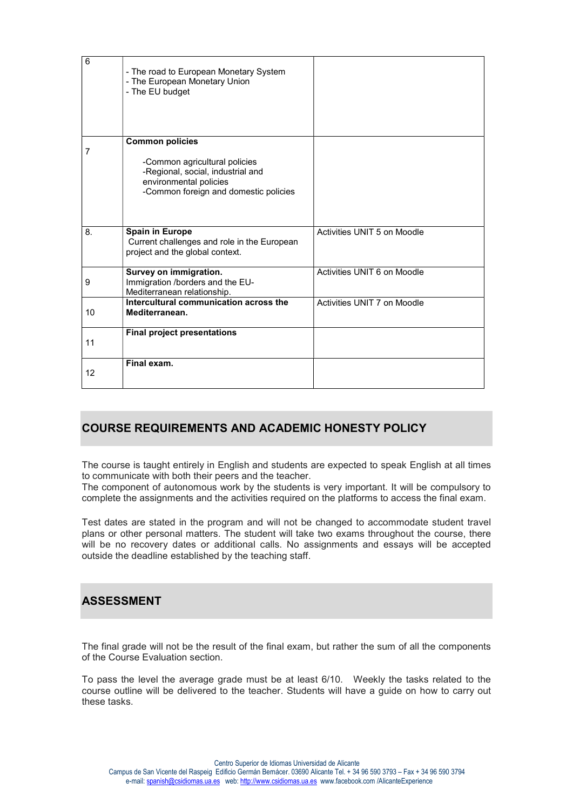| 6  | - The road to European Monetary System<br>- The European Monetary Union<br>- The EU budget                                                                      |                             |
|----|-----------------------------------------------------------------------------------------------------------------------------------------------------------------|-----------------------------|
| 7  | <b>Common policies</b><br>-Common agricultural policies<br>-Regional, social, industrial and<br>environmental policies<br>-Common foreign and domestic policies |                             |
| 8. | <b>Spain in Europe</b><br>Current challenges and role in the European<br>project and the global context.                                                        | Activities UNIT 5 on Moodle |
| 9  | Survey on immigration.<br>Immigration /borders and the EU-<br>Mediterranean relationship.                                                                       | Activities UNIT 6 on Moodle |
| 10 | Intercultural communication across the<br>Mediterranean.                                                                                                        | Activities UNIT 7 on Moodle |
| 11 | <b>Final project presentations</b>                                                                                                                              |                             |
| 12 | Final exam.                                                                                                                                                     |                             |

#### COURSE REQUIREMENTS AND ACADEMIC HONESTY POLICY

The course is taught entirely in English and students are expected to speak English at all times to communicate with both their peers and the teacher.

The component of autonomous work by the students is very important. It will be compulsory to complete the assignments and the activities required on the platforms to access the final exam.

Test dates are stated in the program and will not be changed to accommodate student travel plans or other personal matters. The student will take two exams throughout the course, there will be no recovery dates or additional calls. No assignments and essays will be accepted outside the deadline established by the teaching staff.

#### ASSESSMENT

The final grade will not be the result of the final exam, but rather the sum of all the components of the Course Evaluation section.

To pass the level the average grade must be at least 6/10. Weekly the tasks related to the course outline will be delivered to the teacher. Students will have a guide on how to carry out these tasks.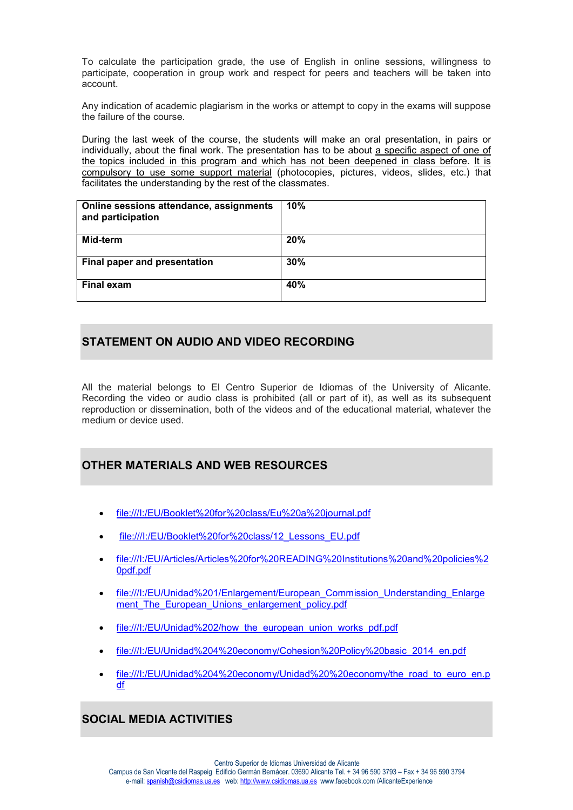To calculate the participation grade, the use of English in online sessions, willingness to participate, cooperation in group work and respect for peers and teachers will be taken into account.

Any indication of academic plagiarism in the works or attempt to copy in the exams will suppose the failure of the course.

During the last week of the course, the students will make an oral presentation, in pairs or individually, about the final work. The presentation has to be about a specific aspect of one of the topics included in this program and which has not been deepened in class before. It is compulsory to use some support material (photocopies, pictures, videos, slides, etc.) that facilitates the understanding by the rest of the classmates.

| Online sessions attendance, assignments<br>and participation | 10% |
|--------------------------------------------------------------|-----|
| Mid-term                                                     | 20% |
| Final paper and presentation                                 | 30% |
| <b>Final exam</b>                                            | 40% |

### STATEMENT ON AUDIO AND VIDEO RECORDING

All the material belongs to El Centro Superior de Idiomas of the University of Alicante. Recording the video or audio class is prohibited (all or part of it), as well as its subsequent reproduction or dissemination, both of the videos and of the educational material, whatever the medium or device used.

#### OTHER MATERIALS AND WEB RESOURCES

- file:///I:/EU/Booklet%20for%20class/Eu%20a%20journal.pdf
- file:///I:/EU/Booklet%20for%20class/12\_Lessons\_EU.pdf
- file:///I:/EU/Articles/Articles%20for%20READING%20Institutions%20and%20policies%2 0pdf.pdf
- file:///I:/EU/Unidad%201/Enlargement/European\_Commission\_Understanding\_Enlarge ment The European Unions enlargement policy.pdf
- file:///I:/EU/Unidad%202/how the european union works pdf.pdf
- file:///I:/EU/Unidad%204%20economy/Cohesion%20Policy%20basic\_2014\_en.pdf
- file:///I:/EU/Unidad%204%20economy/Unidad%20%20economy/the\_road\_to\_euro\_en.p df

## SOCIAL MEDIA ACTIVITIES

Centro Superior de Idiomas Universidad de Alicante Campus de San Vicente del Raspeig Edificio Germán Bernácer. 03690 Alicante Tel. + 34 96 590 3793 – Fax + 34 96 590 3794 e-mail: spanish@csidiomas.ua.es web: http://www.csidiomas.ua.es www.facebook.com /AlicanteExperience